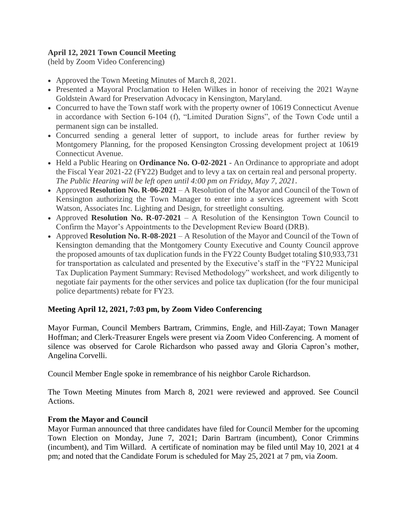# **April 12, 2021 Town Council Meeting**

(held by Zoom Video Conferencing)

- Approved the Town Meeting Minutes of March 8, 2021.
- Presented a Mayoral Proclamation to Helen Wilkes in honor of receiving the 2021 Wayne Goldstein Award for Preservation Advocacy in Kensington, Maryland.
- Concurred to have the Town staff work with the property owner of 10619 Connecticut Avenue in accordance with Section 6-104 (f), "Limited Duration Signs", of the Town Code until a permanent sign can be installed.
- Concurred sending a general letter of support, to include areas for further review by Montgomery Planning, for the proposed Kensington Crossing development project at 10619 Connecticut Avenue.
- Held a Public Hearing on **Ordinance No. O-02-2021** An Ordinance to appropriate and adopt the Fiscal Year 2021-22 (FY22) Budget and to levy a tax on certain real and personal property. *The Public Hearing will be left open until 4:00 pm on Friday, May 7, 2021.*
- Approved **Resolution No. R-06-2021** A Resolution of the Mayor and Council of the Town of Kensington authorizing the Town Manager to enter into a services agreement with Scott Watson, Associates Inc. Lighting and Design, for streetlight consulting.
- Approved **Resolution No. R-07-2021** A Resolution of the Kensington Town Council to Confirm the Mayor's Appointments to the Development Review Board (DRB).
- Approved **Resolution No. R-08-2021** A Resolution of the Mayor and Council of the Town of Kensington demanding that the Montgomery County Executive and County Council approve the proposed amounts of tax duplication funds in the FY22 County Budget totaling \$10,933,731 for transportation as calculated and presented by the Executive's staff in the "FY22 Municipal Tax Duplication Payment Summary: Revised Methodology" worksheet, and work diligently to negotiate fair payments for the other services and police tax duplication (for the four municipal police departments) rebate for FY23.

# **Meeting April 12, 2021, 7:03 pm, by Zoom Video Conferencing**

Mayor Furman, Council Members Bartram, Crimmins, Engle, and Hill-Zayat; Town Manager Hoffman; and Clerk-Treasurer Engels were present via Zoom Video Conferencing. A moment of silence was observed for Carole Richardson who passed away and Gloria Capron's mother, Angelina Corvelli.

Council Member Engle spoke in remembrance of his neighbor Carole Richardson.

The Town Meeting Minutes from March 8, 2021 were reviewed and approved. See Council Actions.

## **From the Mayor and Council**

Mayor Furman announced that three candidates have filed for Council Member for the upcoming Town Election on Monday, June 7, 2021; Darin Bartram (incumbent), Conor Crimmins (incumbent), and Tim Willard. A certificate of nomination may be filed until May 10, 2021 at 4 pm; and noted that the Candidate Forum is scheduled for May 25, 2021 at 7 pm, via Zoom.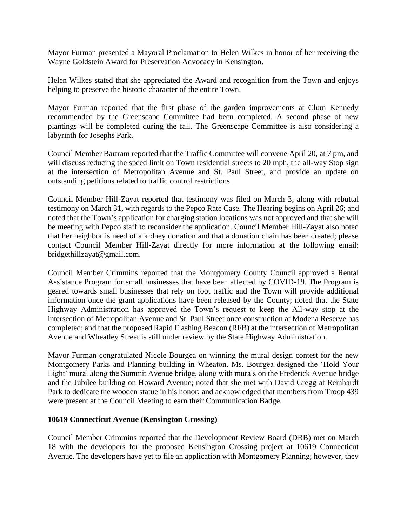Mayor Furman presented a Mayoral Proclamation to Helen Wilkes in honor of her receiving the Wayne Goldstein Award for Preservation Advocacy in Kensington.

Helen Wilkes stated that she appreciated the Award and recognition from the Town and enjoys helping to preserve the historic character of the entire Town.

Mayor Furman reported that the first phase of the garden improvements at Clum Kennedy recommended by the Greenscape Committee had been completed. A second phase of new plantings will be completed during the fall. The Greenscape Committee is also considering a labyrinth for Josephs Park.

Council Member Bartram reported that the Traffic Committee will convene April 20, at 7 pm, and will discuss reducing the speed limit on Town residential streets to 20 mph, the all-way Stop sign at the intersection of Metropolitan Avenue and St. Paul Street, and provide an update on outstanding petitions related to traffic control restrictions.

Council Member Hill-Zayat reported that testimony was filed on March 3, along with rebuttal testimony on March 31, with regards to the Pepco Rate Case. The Hearing begins on April 26; and noted that the Town's application for charging station locations was not approved and that she will be meeting with Pepco staff to reconsider the application. Council Member Hill-Zayat also noted that her neighbor is need of a kidney donation and that a donation chain has been created; please contact Council Member Hill-Zayat directly for more information at the following email: bridgethillzayat@gmail.com.

Council Member Crimmins reported that the Montgomery County Council approved a Rental Assistance Program for small businesses that have been affected by COVID-19. The Program is geared towards small businesses that rely on foot traffic and the Town will provide additional information once the grant applications have been released by the County; noted that the State Highway Administration has approved the Town's request to keep the All-way stop at the intersection of Metropolitan Avenue and St. Paul Street once construction at Modena Reserve has completed; and that the proposed Rapid Flashing Beacon (RFB) at the intersection of Metropolitan Avenue and Wheatley Street is still under review by the State Highway Administration.

Mayor Furman congratulated Nicole Bourgea on winning the mural design contest for the new Montgomery Parks and Planning building in Wheaton. Ms. Bourgea designed the 'Hold Your Light' mural along the Summit Avenue bridge, along with murals on the Frederick Avenue bridge and the Jubilee building on Howard Avenue; noted that she met with David Gregg at Reinhardt Park to dedicate the wooden statue in his honor; and acknowledged that members from Troop 439 were present at the Council Meeting to earn their Communication Badge.

#### **10619 Connecticut Avenue (Kensington Crossing)**

Council Member Crimmins reported that the Development Review Board (DRB) met on March 18 with the developers for the proposed Kensington Crossing project at 10619 Connecticut Avenue. The developers have yet to file an application with Montgomery Planning; however, they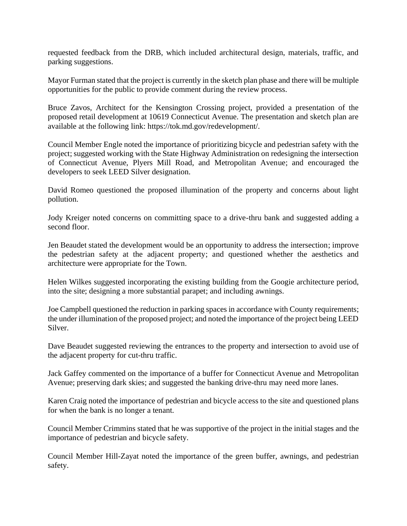requested feedback from the DRB, which included architectural design, materials, traffic, and parking suggestions.

Mayor Furman stated that the project is currently in the sketch plan phase and there will be multiple opportunities for the public to provide comment during the review process.

Bruce Zavos, Architect for the Kensington Crossing project, provided a presentation of the proposed retail development at 10619 Connecticut Avenue. The presentation and sketch plan are available at the following link: https://tok.md.gov/redevelopment/.

Council Member Engle noted the importance of prioritizing bicycle and pedestrian safety with the project; suggested working with the State Highway Administration on redesigning the intersection of Connecticut Avenue, Plyers Mill Road, and Metropolitan Avenue; and encouraged the developers to seek LEED Silver designation.

David Romeo questioned the proposed illumination of the property and concerns about light pollution.

Jody Kreiger noted concerns on committing space to a drive-thru bank and suggested adding a second floor.

Jen Beaudet stated the development would be an opportunity to address the intersection; improve the pedestrian safety at the adjacent property; and questioned whether the aesthetics and architecture were appropriate for the Town.

Helen Wilkes suggested incorporating the existing building from the Googie architecture period, into the site; designing a more substantial parapet; and including awnings.

Joe Campbell questioned the reduction in parking spaces in accordance with County requirements; the under illumination of the proposed project; and noted the importance of the project being LEED Silver.

Dave Beaudet suggested reviewing the entrances to the property and intersection to avoid use of the adjacent property for cut-thru traffic.

Jack Gaffey commented on the importance of a buffer for Connecticut Avenue and Metropolitan Avenue; preserving dark skies; and suggested the banking drive-thru may need more lanes.

Karen Craig noted the importance of pedestrian and bicycle access to the site and questioned plans for when the bank is no longer a tenant.

Council Member Crimmins stated that he was supportive of the project in the initial stages and the importance of pedestrian and bicycle safety.

Council Member Hill-Zayat noted the importance of the green buffer, awnings, and pedestrian safety.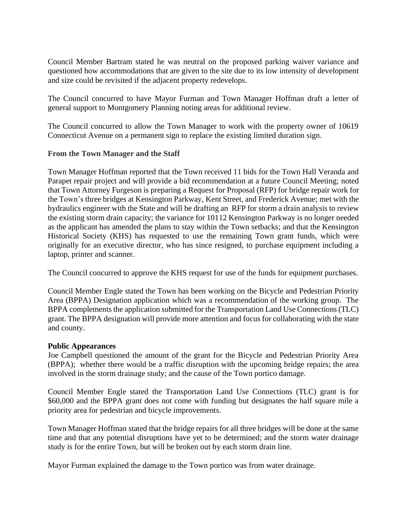Council Member Bartram stated he was neutral on the proposed parking waiver variance and questioned how accommodations that are given to the site due to its low intensity of development and size could be revisited if the adjacent property redevelops.

The Council concurred to have Mayor Furman and Town Manager Hoffman draft a letter of general support to Montgomery Planning noting areas for additional review.

The Council concurred to allow the Town Manager to work with the property owner of 10619 Connecticut Avenue on a permanent sign to replace the existing limited duration sign.

## **From the Town Manager and the Staff**

Town Manager Hoffman reported that the Town received 11 bids for the Town Hall Veranda and Parapet repair project and will provide a bid recommendation at a future Council Meeting; noted that Town Attorney Furgeson is preparing a Request for Proposal (RFP) for bridge repair work for the Town's three bridges at Kensington Parkway, Kent Street, and Frederick Avenue; met with the hydraulics engineer with the State and will be drafting an RFP for storm a drain analysis to review the existing storm drain capacity; the variance for 10112 Kensington Parkway is no longer needed as the applicant has amended the plans to stay within the Town setbacks; and that the Kensington Historical Society (KHS) has requested to use the remaining Town grant funds, which were originally for an executive director, who has since resigned, to purchase equipment including a laptop, printer and scanner.

The Council concurred to approve the KHS request for use of the funds for equipment purchases.

Council Member Engle stated the Town has been working on the Bicycle and Pedestrian Priority Area (BPPA) Designation application which was a recommendation of the working group. The BPPA complements the application submitted for the Transportation Land Use Connections (TLC) grant. The BPPA designation will provide more attention and focus for collaborating with the state and county.

#### **Public Appearances**

Joe Campbell questioned the amount of the grant for the Bicycle and Pedestrian Priority Area (BPPA); whether there would be a traffic disruption with the upcoming bridge repairs; the area involved in the storm drainage study; and the cause of the Town portico damage.

Council Member Engle stated the Transportation Land Use Connections (TLC) grant is for \$60,000 and the BPPA grant does not come with funding but designates the half square mile a priority area for pedestrian and bicycle improvements.

Town Manager Hoffman stated that the bridge repairs for all three bridges will be done at the same time and that any potential disruptions have yet to be determined; and the storm water drainage study is for the entire Town, but will be broken out by each storm drain line.

Mayor Furman explained the damage to the Town portico was from water drainage.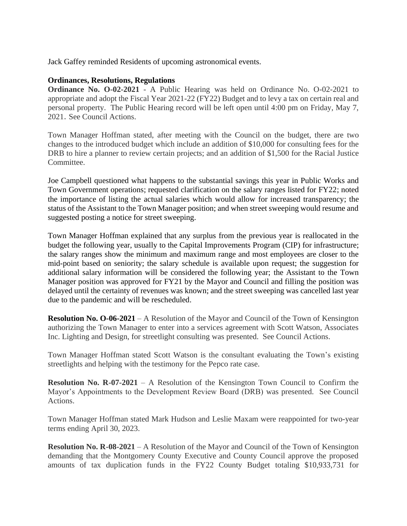Jack Gaffey reminded Residents of upcoming astronomical events.

## **Ordinances, Resolutions, Regulations**

**Ordinance No. O-02-2021** - A Public Hearing was held on Ordinance No. O-02-2021 to appropriate and adopt the Fiscal Year 2021-22 (FY22) Budget and to levy a tax on certain real and personal property. The Public Hearing record will be left open until 4:00 pm on Friday, May 7, 2021. See Council Actions.

Town Manager Hoffman stated, after meeting with the Council on the budget, there are two changes to the introduced budget which include an addition of \$10,000 for consulting fees for the DRB to hire a planner to review certain projects; and an addition of \$1,500 for the Racial Justice Committee.

Joe Campbell questioned what happens to the substantial savings this year in Public Works and Town Government operations; requested clarification on the salary ranges listed for FY22; noted the importance of listing the actual salaries which would allow for increased transparency; the status of the Assistant to the Town Manager position; and when street sweeping would resume and suggested posting a notice for street sweeping.

Town Manager Hoffman explained that any surplus from the previous year is reallocated in the budget the following year, usually to the Capital Improvements Program (CIP) for infrastructure; the salary ranges show the minimum and maximum range and most employees are closer to the mid-point based on seniority; the salary schedule is available upon request; the suggestion for additional salary information will be considered the following year; the Assistant to the Town Manager position was approved for FY21 by the Mayor and Council and filling the position was delayed until the certainty of revenues was known; and the street sweeping was cancelled last year due to the pandemic and will be rescheduled.

**Resolution No. O-06-2021** – A Resolution of the Mayor and Council of the Town of Kensington authorizing the Town Manager to enter into a services agreement with Scott Watson, Associates Inc. Lighting and Design, for streetlight consulting was presented. See Council Actions.

Town Manager Hoffman stated Scott Watson is the consultant evaluating the Town's existing streetlights and helping with the testimony for the Pepco rate case.

**Resolution No. R-07-2021** – A Resolution of the Kensington Town Council to Confirm the Mayor's Appointments to the Development Review Board (DRB) was presented. See Council Actions.

Town Manager Hoffman stated Mark Hudson and Leslie Maxam were reappointed for two-year terms ending April 30, 2023.

**Resolution No. R-08-2021** – A Resolution of the Mayor and Council of the Town of Kensington demanding that the Montgomery County Executive and County Council approve the proposed amounts of tax duplication funds in the FY22 County Budget totaling \$10,933,731 for